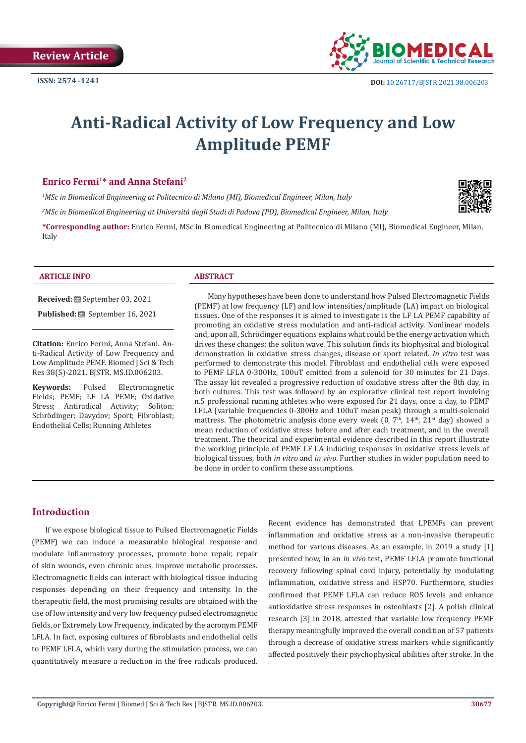

# **Anti-Radical Activity of Low Frequency and Low Amplitude PEMF**

# **Enrico Fermi1\* and Anna Stefani2**

*1 MSc in Biomedical Engineering at Politecnico di Milano (MI), Biomedical Engineer, Milan, Italy*

*2 MSc in Biomedical Engineering at Università degli Studi di Padova (PD), Biomedical Engineer, Milan, Italy*

**\*Corresponding author:** Enrico Fermi, MSc in Biomedical Engineering at Politecnico di Milano (MI), Biomedical Engineer, Milan, Italy

#### **ARTICLE INFO ABSTRACT**

**Received:** September 03, 2021

**Published:** September 16, 2021

**Citation:** Enrico Fermi, Anna Stefani. Anti-Radical Activity of Low Frequency and Low Amplitude PEMF. Biomed J Sci & Tech Res 38(5)-2021. BJSTR. MS.ID.006203.

**Keywords:** Pulsed Electromagnetic Fields; PEMF; LF LA PEMF; Oxidative Stress; Antiradical Activity; Soliton; Schrödinger; Davydov; Sport; Fibroblast; Endothelial Cells; Running Athletes

Many hypotheses have been done to understand how Pulsed Electromagnetic Fields (PEMF) at low frequency (LF) and low intensities/amplitude (LA) impact on biological tissues. One of the responses it is aimed to investigate is the LF LA PEMF capability of promoting an oxidative stress modulation and anti-radical activity. Nonlinear models and, upon all, Schrödinger equations explains what could be the energy activation which drives these changes: the soliton wave. This solution finds its biophysical and biological demonstration in oxidative stress changes, disease or sport related. *In vitro* test was performed to demonstrate this model. Fibroblast and endothelial cells were exposed to PEMF LFLA 0-300Hz, 100uT emitted from a solenoid for 30 minutes for 21 Days. The assay kit revealed a progressive reduction of oxidative stress after the 8th day, in both cultures. This test was followed by an explorative clinical test report involving n.5 professional running athletes who were exposed for 21 days, once a day, to PEMF LFLA (variable frequencies 0-300Hz and 100uT mean peak) through a multi-solenoid mattress. The photometric analysis done every week  $(0, 7<sup>th</sup>, 14<sup>th</sup>, 21<sup>st</sup> day)$  showed a mean reduction of oxidative stress before and after each treatment, and in the overall treatment. The theorical and experimental evidence described in this report illustrate the working principle of PEMF LF LA inducing responses in oxidative stress levels of biological tissues, both *in vitro* and *in vivo*. Further studies in wider population need to be done in order to confirm these assumptions.

# **Introduction**

If we expose biological tissue to Pulsed Electromagnetic Fields (PEMF) we can induce a measurable biological response and modulate inflammatory processes, promote bone repair, repair of skin wounds, even chronic ones, improve metabolic processes. Electromagnetic fields can interact with biological tissue inducing responses depending on their frequency and intensity. In the therapeutic field, the most promising results are obtained with the use of low intensity and very low frequency pulsed electromagnetic fields, or Extremely Low Frequency, indicated by the acronym PEMF LFLA. In fact, exposing cultures of fibroblasts and endothelial cells to PEMF LFLA, which vary during the stimulation process, we can quantitatively measure a reduction in the free radicals produced. Recent evidence has demonstrated that LPEMFs can prevent inflammation and oxidative stress as a non-invasive therapeutic method for various diseases. As an example, in 2019 a study [1] presented how, in an *in vivo* test, PEMF LFLA promote functional recovery following spinal cord injury, potentially by modulating inflammation, oxidative stress and HSP70. Furthermore, studies confirmed that PEMF LFLA can reduce ROS levels and enhance antioxidative stress responses in osteoblasts [2]. A polish clinical research [3] in 2018, attested that variable low frequency PEMF therapy meaningfully improved the overall condition of 57 patients through a decrease of oxidative stress markers while significantly affected positively their psychophysical abilities after stroke. In the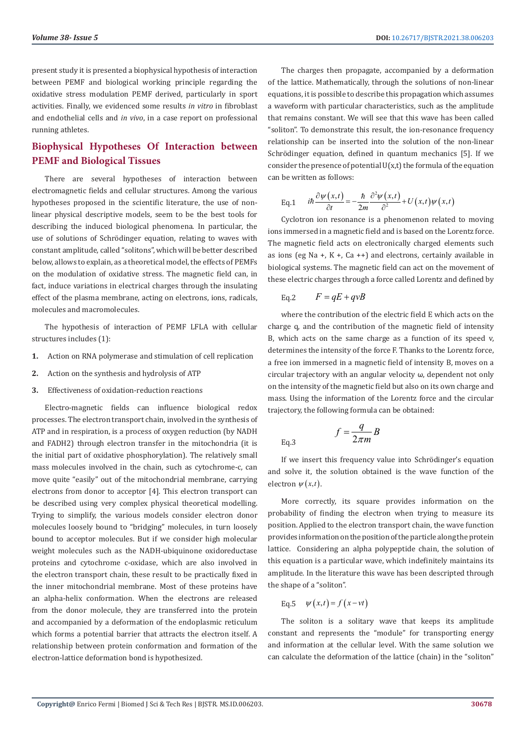present study it is presented a biophysical hypothesis of interaction between PEMF and biological working principle regarding the oxidative stress modulation PEMF derived, particularly in sport activities. Finally, we evidenced some results *in vitro* in fibroblast and endothelial cells and *in vivo*, in a case report on professional running athletes.

# **Biophysical Hypotheses Of Interaction between PEMF and Biological Tissues**

There are several hypotheses of interaction between electromagnetic fields and cellular structures. Among the various hypotheses proposed in the scientific literature, the use of nonlinear physical descriptive models, seem to be the best tools for describing the induced biological phenomena. In particular, the use of solutions of Schrödinger equation, relating to waves with constant amplitude, called "solitons", which will be better described below, allows to explain, as a theoretical model, the effects of PEMFs on the modulation of oxidative stress. The magnetic field can, in fact, induce variations in electrical charges through the insulating effect of the plasma membrane, acting on electrons, ions, radicals, molecules and macromolecules.

The hypothesis of interaction of PEMF LFLA with cellular structures includes (1):

- **1.** Action on RNA polymerase and stimulation of cell replication
- **2.** Action on the synthesis and hydrolysis of ATP
- **3.** Effectiveness of oxidation-reduction reactions

Electro-magnetic fields can influence biological redox processes. The electron transport chain, involved in the synthesis of ATP and in respiration, is a process of oxygen reduction (by NADH and FADH2) through electron transfer in the mitochondria (it is the initial part of oxidative phosphorylation). The relatively small mass molecules involved in the chain, such as cytochrome-c, can move quite "easily" out of the mitochondrial membrane, carrying electrons from donor to acceptor [4]. This electron transport can be described using very complex physical theoretical modelling. Trying to simplify, the various models consider electron donor molecules loosely bound to "bridging" molecules, in turn loosely bound to acceptor molecules. But if we consider high molecular weight molecules such as the NADH-ubiquinone oxidoreductase proteins and cytochrome c-oxidase, which are also involved in the electron transport chain, these result to be practically fixed in the inner mitochondrial membrane. Most of these proteins have an alpha-helix conformation. When the electrons are released from the donor molecule, they are transferred into the protein and accompanied by a deformation of the endoplasmic reticulum which forms a potential barrier that attracts the electron itself. A relationship between protein conformation and formation of the electron-lattice deformation bond is hypothesized.

The charges then propagate, accompanied by a deformation of the lattice. Mathematically, through the solutions of non-linear equations, it is possible to describe this propagation which assumes a waveform with particular characteristics, such as the amplitude that remains constant. We will see that this wave has been called "soliton". To demonstrate this result, the ion-resonance frequency relationship can be inserted into the solution of the non-linear Schrödinger equation, defined in quantum mechanics [5]. If we consider the presence of potential  $U(x,t)$  the formula of the equation can be written as follows:

Eq.1 
$$
i\hbar \frac{\partial \psi(x,t)}{\partial t} = -\frac{\hbar}{2m} \frac{\partial^2 \psi(x,t)}{\partial^2} + U(x,t) \psi(x,t)
$$

Cyclotron ion resonance is a phenomenon related to moving ions immersed in a magnetic field and is based on the Lorentz force. The magnetic field acts on electronically charged elements such as ions (eg Na +, K +, Ca ++) and electrons, certainly available in biological systems. The magnetic field can act on the movement of these electric charges through a force called Lorentz and defined by

Eq.2 
$$
F = qE + qvB
$$

where the contribution of the electric field E which acts on the charge q, and the contribution of the magnetic field of intensity B, which acts on the same charge as a function of its speed v, determines the intensity of the force F. Thanks to the Lorentz force, a free ion immersed in a magnetic field of intensity B, moves on a circular trajectory with an angular velocity ω, dependent not only on the intensity of the magnetic field but also on its own charge and mass. Using the information of the Lorentz force and the circular trajectory, the following formula can be obtained:

Eq.3 
$$
f = \frac{q}{2\pi m}B
$$

If we insert this frequency value into Schrödinger's equation and solve it, the solution obtained is the wave function of the electron  $\psi(x,t)$ .

More correctly, its square provides information on the probability of finding the electron when trying to measure its position. Applied to the electron transport chain, the wave function provides information on the position of the particle along the protein lattice. Considering an alpha polypeptide chain, the solution of this equation is a particular wave, which indefinitely maintains its amplitude. In the literature this wave has been descripted through the shape of a "soliton".

$$
Eq.5 \quad \psi(x,t) = f(x - vt)
$$

The soliton is a solitary wave that keeps its amplitude constant and represents the "module" for transporting energy and information at the cellular level. With the same solution we can calculate the deformation of the lattice (chain) in the "soliton"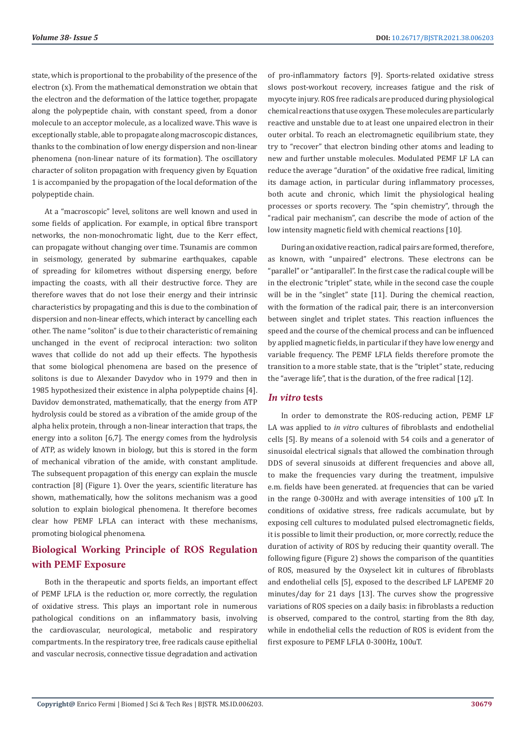state, which is proportional to the probability of the presence of the electron (x). From the mathematical demonstration we obtain that the electron and the deformation of the lattice together, propagate along the polypeptide chain, with constant speed, from a donor molecule to an acceptor molecule, as a localized wave. This wave is exceptionally stable, able to propagate along macroscopic distances, thanks to the combination of low energy dispersion and non-linear phenomena (non-linear nature of its formation). The oscillatory character of soliton propagation with frequency given by Equation 1 is accompanied by the propagation of the local deformation of the polypeptide chain.

At a "macroscopic" level, solitons are well known and used in some fields of application. For example, in optical fibre transport networks, the non-monochromatic light, due to the Kerr effect, can propagate without changing over time. Tsunamis are common in seismology, generated by submarine earthquakes, capable of spreading for kilometres without dispersing energy, before impacting the coasts, with all their destructive force. They are therefore waves that do not lose their energy and their intrinsic characteristics by propagating and this is due to the combination of dispersion and non-linear effects, which interact by cancelling each other. The name "soliton" is due to their characteristic of remaining unchanged in the event of reciprocal interaction: two soliton waves that collide do not add up their effects. The hypothesis that some biological phenomena are based on the presence of solitons is due to Alexander Davydov who in 1979 and then in 1985 hypothesized their existence in alpha polypeptide chains [4]. Davidov demonstrated, mathematically, that the energy from ATP hydrolysis could be stored as a vibration of the amide group of the alpha helix protein, through a non-linear interaction that traps, the energy into a soliton [6,7]. The energy comes from the hydrolysis of ATP, as widely known in biology, but this is stored in the form of mechanical vibration of the amide, with constant amplitude. The subsequent propagation of this energy can explain the muscle contraction [8] (Figure 1). Over the years, scientific literature has shown, mathematically, how the solitons mechanism was a good solution to explain biological phenomena. It therefore becomes clear how PEMF LFLA can interact with these mechanisms, promoting biological phenomena.

# **Biological Working Principle of ROS Regulation with PEMF Exposure**

Both in the therapeutic and sports fields, an important effect of PEMF LFLA is the reduction or, more correctly, the regulation of oxidative stress. This plays an important role in numerous pathological conditions on an inflammatory basis, involving the cardiovascular, neurological, metabolic and respiratory compartments. In the respiratory tree, free radicals cause epithelial and vascular necrosis, connective tissue degradation and activation

of pro-inflammatory factors [9]. Sports-related oxidative stress slows post-workout recovery, increases fatigue and the risk of myocyte injury. ROS free radicals are produced during physiological chemical reactions that use oxygen. These molecules are particularly reactive and unstable due to at least one unpaired electron in their outer orbital. To reach an electromagnetic equilibrium state, they try to "recover" that electron binding other atoms and leading to new and further unstable molecules. Modulated PEMF LF LA can reduce the average "duration" of the oxidative free radical, limiting its damage action, in particular during inflammatory processes, both acute and chronic, which limit the physiological healing processes or sports recovery. The "spin chemistry", through the "radical pair mechanism", can describe the mode of action of the low intensity magnetic field with chemical reactions [10].

During an oxidative reaction, radical pairs are formed, therefore, as known, with "unpaired" electrons. These electrons can be "parallel" or "antiparallel". In the first case the radical couple will be in the electronic "triplet" state, while in the second case the couple will be in the "singlet" state [11]. During the chemical reaction, with the formation of the radical pair, there is an interconversion between singlet and triplet states. This reaction influences the speed and the course of the chemical process and can be influenced by applied magnetic fields, in particular if they have low energy and variable frequency. The PEMF LFLA fields therefore promote the transition to a more stable state, that is the "triplet" state, reducing the "average life", that is the duration, of the free radical [12].

# *In vitro* **tests**

In order to demonstrate the ROS-reducing action, PEMF LF LA was applied to *in vitro* cultures of fibroblasts and endothelial cells [5]. By means of a solenoid with 54 coils and a generator of sinusoidal electrical signals that allowed the combination through DDS of several sinusoids at different frequencies and above all, to make the frequencies vary during the treatment, impulsive e.m. fields have been generated. at frequencies that can be varied in the range 0-300Hz and with average intensities of 100  $\mu$ T. In conditions of oxidative stress, free radicals accumulate, but by exposing cell cultures to modulated pulsed electromagnetic fields, it is possible to limit their production, or, more correctly, reduce the duration of activity of ROS by reducing their quantity overall. The following figure (Figure 2) shows the comparison of the quantities of ROS, measured by the Oxyselect kit in cultures of fibroblasts and endothelial cells [5], exposed to the described LF LAPEMF 20 minutes/day for 21 days [13]. The curves show the progressive variations of ROS species on a daily basis: in fibroblasts a reduction is observed, compared to the control, starting from the 8th day, while in endothelial cells the reduction of ROS is evident from the first exposure to PEMF LFLA 0-300Hz, 100uT.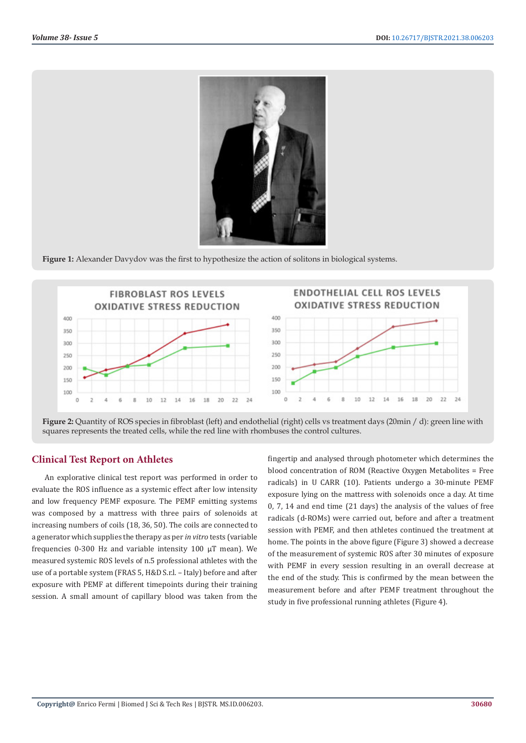

**Figure 1:** Alexander Davydov was the first to hypothesize the action of solitons in biological systems.



**Figure 2:** Quantity of ROS species in fibroblast (left) and endothelial (right) cells vs treatment days (20min / d): green line with squares represents the treated cells, while the red line with rhombuses the control cultures.

# **Clinical Test Report on Athletes**

An explorative clinical test report was performed in order to evaluate the ROS influence as a systemic effect after low intensity and low frequency PEMF exposure. The PEMF emitting systems was composed by a mattress with three pairs of solenoids at increasing numbers of coils (18, 36, 50). The coils are connected to a generator which supplies the therapy as per *in vitro* tests (variable frequencies 0-300 Hz and variable intensity 100 µT mean). We measured systemic ROS levels of n.5 professional athletes with the use of a portable system (FRAS 5, H&D S.r.l. – Italy) before and after exposure with PEMF at different timepoints during their training session. A small amount of capillary blood was taken from the

fingertip and analysed through photometer which determines the blood concentration of ROM (Reactive Oxygen Metabolites = Free radicals) in U CARR (10). Patients undergo a 30-minute PEMF exposure lying on the mattress with solenoids once a day. At time 0, 7, 14 and end time (21 days) the analysis of the values of free radicals (d-ROMs) were carried out, before and after a treatment session with PEMF, and then athletes continued the treatment at home. The points in the above figure (Figure 3) showed a decrease of the measurement of systemic ROS after 30 minutes of exposure with PEMF in every session resulting in an overall decrease at the end of the study. This is confirmed by the mean between the measurement before and after PEMF treatment throughout the study in five professional running athletes (Figure 4).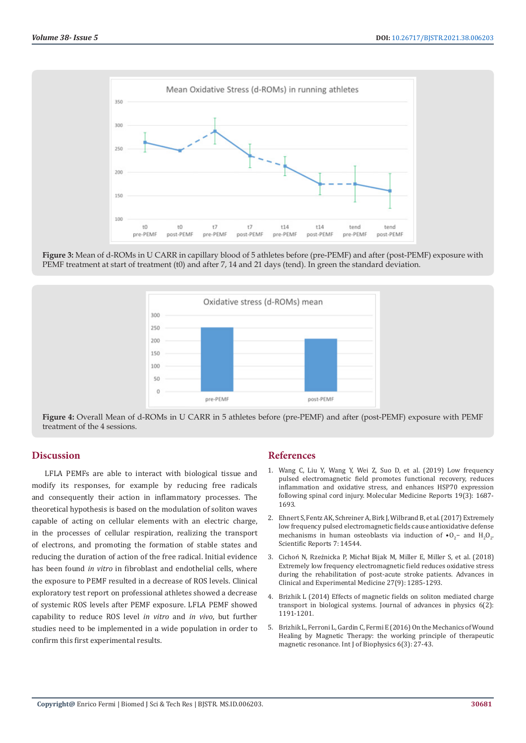

**Figure 3:** Mean of d-ROMs in U CARR in capillary blood of 5 athletes before (pre-PEMF) and after (post-PEMF) exposure with PEMF treatment at start of treatment (t0) and after 7, 14 and 21 days (tend). In green the standard deviation.



**Figure 4:** Overall Mean of d-ROMs in U CARR in 5 athletes before (pre-PEMF) and after (post-PEMF) exposure with PEMF treatment of the 4 sessions.

# **Discussion**

LFLA PEMFs are able to interact with biological tissue and modify its responses, for example by reducing free radicals and consequently their action in inflammatory processes. The theoretical hypothesis is based on the modulation of soliton waves capable of acting on cellular elements with an electric charge, in the processes of cellular respiration, realizing the transport of electrons, and promoting the formation of stable states and reducing the duration of action of the free radical. Initial evidence has been found *in vitro* in fibroblast and endothelial cells, where the exposure to PEMF resulted in a decrease of ROS levels. Clinical exploratory test report on professional athletes showed a decrease of systemic ROS levels after PEMF exposure. LFLA PEMF showed capability to reduce ROS level *in vitro* and *in vivo*, but further studies need to be implemented in a wide population in order to confirm this first experimental results.

# **References**

- 1. [Wang C, Liu Y, Wang Y, Wei Z, Suo D, et al. \(2019\) Low frequency](https://pubmed.ncbi.nlm.nih.gov/30628673/) [pulsed electromagnetic field promotes functional recovery, reduces](https://pubmed.ncbi.nlm.nih.gov/30628673/) [inflammation and oxidative stress, and enhances HSP70 expression](https://pubmed.ncbi.nlm.nih.gov/30628673/) [following spinal cord injury. Molecular Medicine Reports 19\(3\): 1687-](https://pubmed.ncbi.nlm.nih.gov/30628673/) [1693.](https://pubmed.ncbi.nlm.nih.gov/30628673/)
- 2. [Ehnert S, Fentz AK, Schreiner A, Birk J, Wilbrand B, et al. \(2017\) Extremely](https://www.ncbi.nlm.nih.gov/pmc/articles/PMC5673962/) [low frequency pulsed electromagnetic fields cause antioxidative defense](https://www.ncbi.nlm.nih.gov/pmc/articles/PMC5673962/) mechanisms in human osteoblasts via induction of  $\cdot 0_2$  and  $H_2O_2$ . [Scientific Reports 7: 14544.](https://www.ncbi.nlm.nih.gov/pmc/articles/PMC5673962/)
- 3. Cichoń N, Rzeźnicka P, Michał [Bijak M, Miller E, Miller S, et al. \(2018\)](https://pubmed.ncbi.nlm.nih.gov/30024661/) [Extremely low frequency electromagnetic field reduces oxidative stress](https://pubmed.ncbi.nlm.nih.gov/30024661/) [during the rehabilitation of post-acute stroke patients. Advances in](https://pubmed.ncbi.nlm.nih.gov/30024661/) [Clinical and Experimental Medicine 27\(9\): 1285-1293.](https://pubmed.ncbi.nlm.nih.gov/30024661/)
- 4. [Brizhik L \(2014\) Effects of magnetic fields on soliton mediated charge](https://www.researchgate.net/publication/328720598_EFFECTS_OF_MAGNETIC_FIELDS_ON_SOLITON_MEDIATED_CHARGE_TRANSPORT_IN_BIOLOGICAL_SYSTEMS) [transport in biological systems. Journal of advances in physics 6\(2\):](https://www.researchgate.net/publication/328720598_EFFECTS_OF_MAGNETIC_FIELDS_ON_SOLITON_MEDIATED_CHARGE_TRANSPORT_IN_BIOLOGICAL_SYSTEMS) [1191-1201.](https://www.researchgate.net/publication/328720598_EFFECTS_OF_MAGNETIC_FIELDS_ON_SOLITON_MEDIATED_CHARGE_TRANSPORT_IN_BIOLOGICAL_SYSTEMS)
- 5. [Brizhik L, Ferroni L, Gardin C, Fermi E \(2016\) On the Mechanics of Wound](http://article.sapub.org/10.5923.j.biophysics.20160603.01.html) [Healing by Magnetic Therapy: the working principle of therapeutic](http://article.sapub.org/10.5923.j.biophysics.20160603.01.html) [magnetic resonance. Int J of Biophysics 6\(3\): 27-43.](http://article.sapub.org/10.5923.j.biophysics.20160603.01.html)